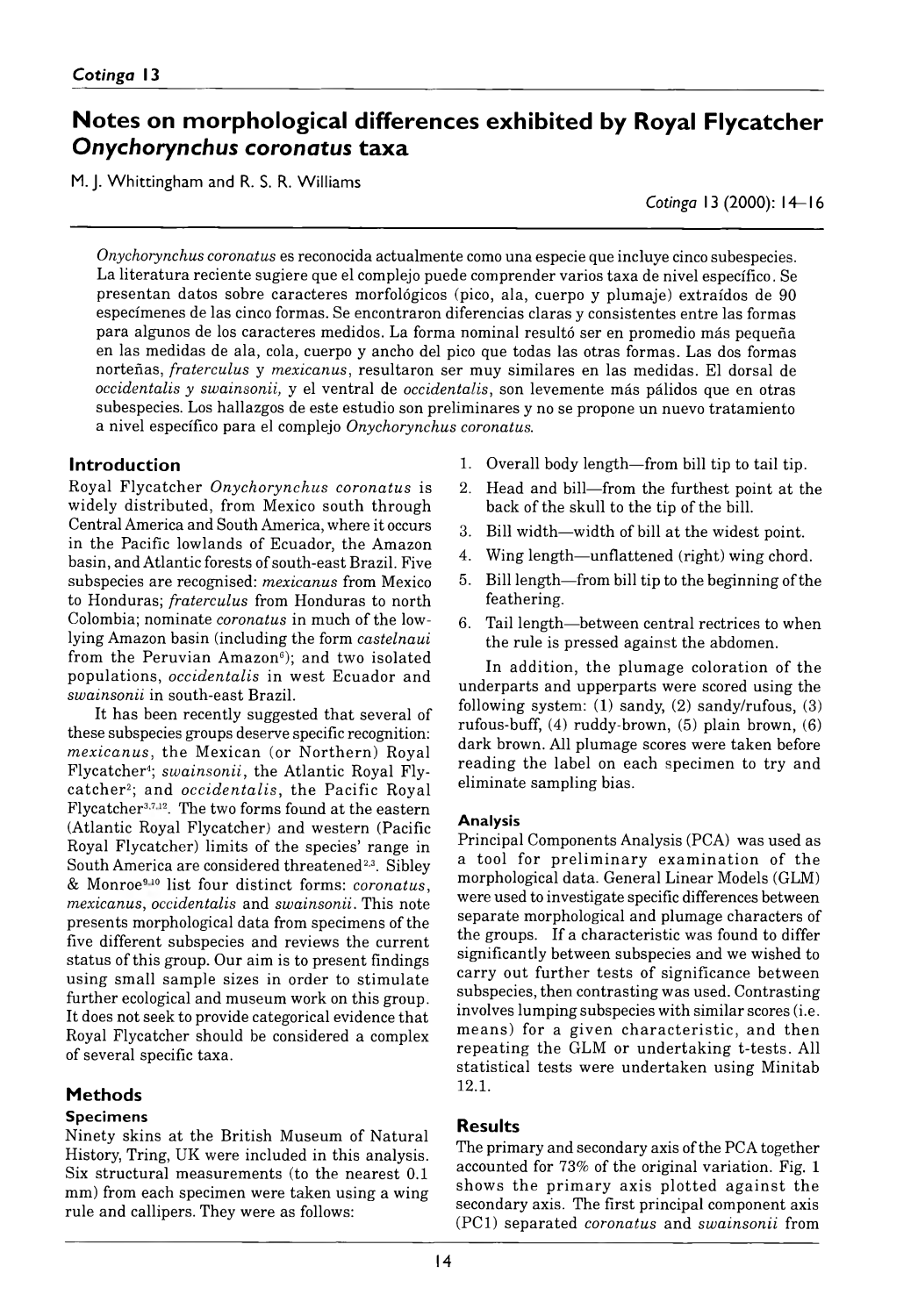# **Notes on morphological differences exhibited by Royal Flycatcher Onychorynchus coronatus taxa**

M. J. Whittingham and R. S. R. Williams

*Cotinga* 13 (2000): 14– 16

*Onychorynchus coronatus* es reconocida actualmente como una especie que incluye cinco subespecies. La literatura reciente sugiere que el complejo puede comprender varios taxa de nivel específico. Se presentan datos sobre caracteres morfológicos (pico, ala, cuerpo y plumaje) extraídos de 90 especímenes de las cinco formas. Se encontraron diferencias claras y consistentes entre las formas para algunos de los caracteres medidos. La forma nominal resultó ser en promedio más pequeña en las medidas de ala, cola, cuerpo y ancho del pico que todas las otras formas. Las dos formas norteñas, *fraterculus* y *mexicanus*, resultaron ser muy similares en las medidas. El dorsal de *occidentalis y swainsonii*, y el ventral de *occidentalis,* son levemente más pálidos que en otras subespecies. Los hallazgos de este estudio son preliminares y no se propone un nuevo tratamiento a nivel específico para el complejo Onychorynchus coronatus.

### **Introduction**

Royal Flycatcher *Onychorynchus coronatus* is widely distributed, from Mexico south through Central America and South America, where it occurs in the Pacific lowlands of Ecuador, the Amazon basin, and Atlantic forests of south-east Brazil. Five subspecies are recognised: *mexicanus* from Mexico to Honduras; *fraterculus* from Honduras to north Colombia; nominate *coronatus* in much of the lowlying Amazon basin (including the form *castelnaui* from the Peruvian Amazon<sup> $6$ </sup>); and two isolated populations, *occidentalis* in west Ecuador and *swainsonii* in south-east Brazil.

It has been recently suggested that several of these subspecies groups deserve specific recognition: *mexicanus,* the Mexican (or Northern) Royal Flycatcher4; *swainsonii*, the Atlantic Royal Flycatcher2; and *occidentalis*, the Pacific Royal Flycatcher3,7,12. The two forms found at the eastern (Atlantic Royal Flycatcher) and western (Pacific Royal Flycatcher) limits of the species' range in South America are considered threatened<sup>2,3</sup>. Sibley & Monroe9,10 list four distinct forms: *coronatus, mexicanus, occidentalis* and *swainsonii.* This note presents morphological data from specimens of the five different subspecies and reviews the current status of this group. Our aim is to present findings using small sample sizes in order to stimulate further ecological and museum work on this group. It does not seek to provide categorical evidence that Royal Flycatcher should be considered a complex of several specific taxa.

## **Methods**

#### **Specimens**

Ninety skins at the British Museum of Natural History, Tring, UK were included in this analysis. Six structural measurements (to the nearest 0.1 mm) from each specimen were taken using a wing rule and callipers. They were as follows:

- 1. Overall body length from bill tip to tail tip.
- 2. Head and bill—from the furthest point at the back of the skull to the tip of the bill.
- 3. Bill width width of bill at the widest point.
- 4. Wing length—unflattened (right) wing chord.
- 5. Bill length from bill tip to the beginning of the feathering.
- 6. Tail length between central rectrices to when the rule is pressed against the abdomen.

In addition, the plumage coloration of the underparts and upperparts were scored using the following system:  $(1)$  sandy,  $(2)$  sandy/rufous,  $(3)$ rufous-buff, (4) ruddy-brown, (5) plain brown, (6) dark brown. All plumage scores were taken before reading the label on each specimen to try and eliminate sampling bias.

#### **Analysis**

Principal Components Analysis (PCA) was used as a tool for preliminary examination of the morphological data. General Linear Models (GLM) were used to investigate specific differences between separate morphological and plumage characters of the groups. If a characteristic was found to differ significantly between subspecies and we wished to carry out further tests of significance between subspecies, then contrasting was used. Contrasting involves lumping subspecies with similar scores (i.e. means) for a given characteristic, and then repeating the GLM or undertaking *t*-tests. All statistical tests were undertaken using Minitab 12. 1.

## **Results**

The primary and secondary axis of the PCA together accounted for 73% of the original variation. Fig. 1 shows the prim ary axis plotted against the secondary axis. The first principal component axis (PC1) separated *coronatus* and *swainsonii* from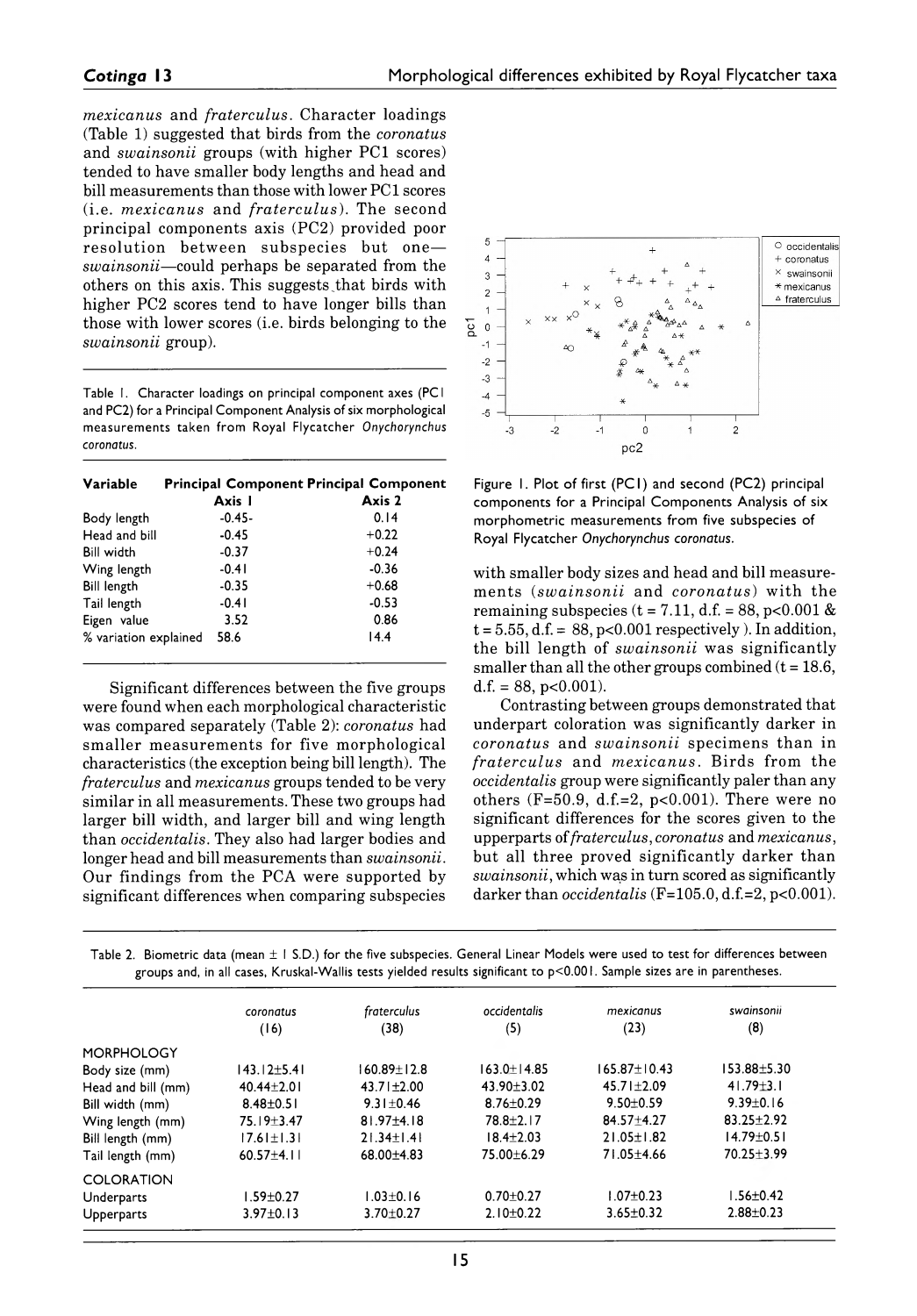*mexicanus* and *fraterculus.* Character loadings (Table 1) suggested that birds from the *coronatus* and *swainsonii* groups (with higher PC1 scores) tended to have smaller body lengths and head and bill measurements than those with lower PC1 scores (i.e. *mexicanus* and *fraterculus*). The second principal- components axis (PC2) provided poor resolution between subspecies but one *swainsonii* — could perhaps be separated from the others on this axis. This suggests that birds with higher PC2 scores tend to have longer bills than those with lower scores (i.e. birds belonging to the *swainsonii* group).

Table 1. Character loadings on principal component axes (PC1 and PC2) for a Principal Component Analysis of six morphological measurements taken from Royal Flycatcher Onychorynchus *coronatus.*

| Variable              | <b>Principal Component Principal Component</b> |         |  |  |
|-----------------------|------------------------------------------------|---------|--|--|
|                       | Axis I                                         | Axis 2  |  |  |
| Body length           | $-0.45 -$                                      | 0.14    |  |  |
| Head and bill         | $-0.45$                                        | $+0.22$ |  |  |
| <b>Bill width</b>     | $-0.37$                                        | $+0.24$ |  |  |
| Wing length           | $-0.41$                                        | $-0.36$ |  |  |
| <b>Bill length</b>    | $-0.35$                                        | $+0.68$ |  |  |
| Tail length           | $-0.41$                                        | $-0.53$ |  |  |
| Eigen value           | 3.52                                           | 0.86    |  |  |
| % variation explained | 58.6                                           | 14.4    |  |  |

Significant differences between the five groups were found when each morphological characteristic was compared separately (Table 2): *coronatus* had smaller measurements for five morphological characteristics (the exception being bill length). The *fraterculus* and *mexicanus* groups tended to be very similar in all measurements. These two groups had larger bill width, and larger bill and wing length than *occidentalis.* They also had larger bodies and longer head and bill measurements than *swainsonii.* Our findings from the PCA were supported by significant differences when comparing subspecies



Figure 1. Plot of first (PC1) and second (PC2) principal components for a Principal Components Analysis of six morphometric measurements from five subspecies of Royal Flycatcher Onychorynchus coronatus.

with smaller body sizes and head and bill measurem ents (*sw ainsonii* and *coronatus*) w ith the remaining subspecies  $(t = 7.11, d.f. = 88, p < 0.001 \&$  $t = 5.55$ ,  $d.f. = 88$ ,  $p < 0.001$  respectively). In addition, the bill length of *swainsonii* was significantly smaller than all the other groups combined (*t* = 18.6,  $d.f. = 88$ ,  $p < 0.001$ ).

Contrasting between groups demonstrated that underpart coloration was significantly darker in *coronatus* and *swainsonii* specimens than in *fraterculus* and *m exicanus.* Birds from the *occidentalis* group were significantly paler than any others (F=50.9, d.f.=2, p<0.001). There were no significant differences for the scores given to the upperparts of *fraterculus*, *coronatus* and *mexicanus*, but all three proved significantly darker than *swainsonii,* which was in turn scored as significantly darker than *occidentalis* (**F**=105.0, d.f.=2, p<0.001).

Table 2. Biometric data (mean ± I S.D.) for the five subspecies. General Linear Models were used to test for differences between groups and, in all cases, Kruskal-Wallis tests yielded results significant to p<0.001. Sample sizes are in parentheses.

|                    | coronatus         | fraterculus       | occidentalis     | mexicanus          | swainsonii       |
|--------------------|-------------------|-------------------|------------------|--------------------|------------------|
|                    | (16)              | (38)              | (5)              | (23)               | (8)              |
| <b>MORPHOLOGY</b>  |                   |                   |                  |                    |                  |
| Body size (mm)     | $143.12 \pm 5.41$ | $160.89 \pm 12.8$ | $163.0 + 14.85$  | $165.87 \pm 10.43$ | 153.88±5.30      |
| Head and bill (mm) | $40.44 + 2.01$    | $43.71 \pm 2.00$  | $43.90 \pm 3.02$ | $45.71 \pm 2.09$   | $41.79 \pm 3.1$  |
| Bill width (mm)    | $8.48 \pm 0.51$   | $9.31 \pm 0.46$   | $8.76 \pm 0.29$  | $9.50 + 0.59$      | $9.39 \pm 0.16$  |
| Wing length (mm)   | $75.19 + 3.47$    | $81.97 + 4.18$    | $78.8 + 2.17$    | $84.57 + 4.27$     | $83.25 + 2.92$   |
| Bill length (mm)   | $17.61 \pm 1.31$  | $21.34 \pm 1.41$  | $18.4 + 2.03$    | $21.05 \pm 1.82$   | $14.79 \pm 0.51$ |
| Tail length (mm)   | $60.57 \pm 4.11$  | $68.00 + 4.83$    | 75.00 ± 6.29     | $71.05 + 4.66$     | $70.25 \pm 3.99$ |
| <b>COLORATION</b>  |                   |                   |                  |                    |                  |
| Underparts         | $1.59 \pm 0.27$   | $1.03 \pm 0.16$   | $0.70 + 0.27$    | $1.07 + 0.23$      | $1.56 \pm 0.42$  |
| <b>Upperparts</b>  | $3.97 \pm 0.13$   | $3.70 \pm 0.27$   | $2.10+0.22$      | $3.65 \pm 0.32$    | $2.88 + 0.23$    |
|                    |                   |                   |                  |                    |                  |